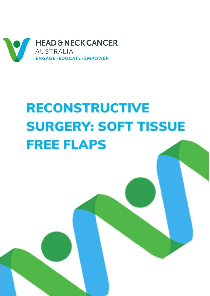

# **RECONSTRUCTIVE SURGERY: SOFT TISSUE FREE FLAPS**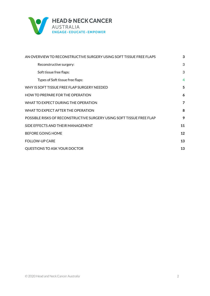

| AN OVERVIEW TO RECONSTRUCTIVE SURGERY USING SOFT TISSUE FREE FLAPS   | 3  |
|----------------------------------------------------------------------|----|
| Reconstructive surgery:                                              | 3  |
| Soft tissue free flaps:                                              | 3  |
| Types of Soft tissue free flaps:                                     | 4  |
| WHY IS SOFT TISSUE FREE FLAP SURGERY NEEDED                          | 5  |
| <b>HOW TO PREPARE FOR THE OPERATION</b>                              | 6  |
| WHAT TO EXPECT DURING THE OPERATION                                  | 7  |
| WHAT TO EXPECT AFTER THE OPERATION                                   | 8  |
| POSSIBLE RISKS OF RECONSTRUCTIVE SURGERY USING SOFT TISSUE FREE FLAP | 9  |
| SIDE EFFECTS AND THEIR MANAGEMENT                                    | 11 |
| <b>BEFORE GOING HOME</b>                                             | 12 |
| <b>FOLLOW-UP CARE</b>                                                | 13 |
| QUESTIONS TO ASK YOUR DOCTOR                                         | 13 |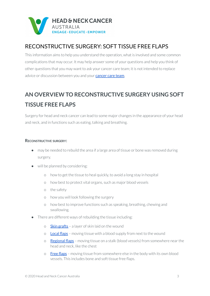

## RECONSTRUCTIVE SURGERY: SOFT TISSUE FREE FLAPS

This information aims to help you understand the operation, what is involved and some common complications that may occur. It may help answer some of your questions and help you think of other questions that you may want to ask your cancer care team; it is not intended to replace advice or discussion between you and your **[cancer](https://www.headandneckcancer.org.au/diagnosis/the-cancer-care-team) care team.** 

# <span id="page-2-0"></span>**AN OVERVIEW TO RECONSTRUCTIVE SURGERY USING SOFT TISSUE FREE FLAPS**

Surgery for head and neck cancer can lead to some major changes in the appearance of your head and neck, and in functions such as eating, talking and breathing.

#### <span id="page-2-1"></span>**RECONSTRUCTIVE SURGERY:**

- may be needed to rebuild the area if a large area of tissue or bone was removed during surgery.
- will be planned by considering:
	- o how to get the tissue to heal quickly, to avoid a long stay in hospital
	- o how best to protect vital organs, such as major blood vessels
	- o the safety
	- o how you will look following the surgery
	- o how best to improve functions such as speaking, breathing, chewing and swallowing.
- There are different ways of rebuilding the tissue including:
	- o  $\overline{\text{skin} \cdot \text{rafts}}$  a laver of skin laid on the wound
	- o [Local](https://www.headandneckcancer.org.au/BeyondFive/media/PDF/Reconstructive-Surgery-Skin-Grafts-and-Local-Flap-Repairs-HANCA2020.pdf) flaps moving tissue with a blood supply from next to the wound
	- $\circ$  **[Regional](https://www.headandneckcancer.org.au/BeyondFive/media/HANCA-Fact-Sheets/Reconstructive-Surgery-Regional-Flaps-HANCA2020.pdf) flaps** moving tissue on a stalk (blood vessels) from somewhere near the head and neck, like the chest
	- o Free [flaps](https://www.headandneckcancer.org.au/BeyondFive/media/pdf/Beyond-Five-Bony-free-flap-FINAL-300317.pdf) moving tissue from somewhere else in the body with its own blood vessels. This includes bone and soft tissue free flaps.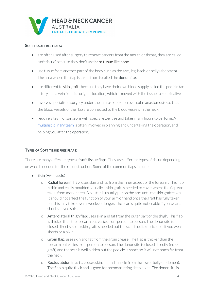

#### <span id="page-3-0"></span>**SOFT TISSUE FREE FLAPS:**

- are often used after surgery to remove cancers from the mouth or throat, they are called 'soft tissue' because they don't use hard tissue like bone.
- use tissue from another part of the body such as the arm, leg, back, or belly (abdomen). The area where the flap is taken from is called the **donor site.**
- are different to skin grafts because they have their own blood supply called the **pedicle** (an artery and a vein from its original location) which is moved with the tissue to keep it alive
- involves specialised surgery underthe microscope (microvascular anastomosis) so that the blood vessels of the flap are connected to the blood vessels in the neck.
- require a team of surgeons with special expertise and takes many hours to perform. A [multidisciplinary](https://www.headandneckcancer.org.au/diagnosis/the-cancer-care-team) team is often involved in planning and undertaking the operation, and helping you after the operation.

#### <span id="page-3-1"></span>**TYPES OF SOFT TISSUE FREE FLAPS:**

There are many different types of **soft tissue flaps**. They use different types of tissue depending on what is needed for the reconstruction. Some of the common flaps include:

- **●** Skin (+/- muscle)
	- o Radial forearm flap: uses skin and fat from the inner aspect of the forearm. This flap is thin and easily moulded. Usually a skin graft is needed to cover where the flap was taken from (donor site). A plaster is usually put on the arm until the skin graft takes. It should not affect the function of your arm or hand once the graft has fully taken but this may take several weeks or longer. The scar is quite noticeable if you wear a short sleeved shirt.
	- o Anterolateral thigh flap: uses skin and fat from the outer part of the thigh. This flap is thicker than the forearm but varies from person to person. The donor site is closed directly so no skin graft is needed but the scaris quite noticeable if you wear shorts or a bikini.
	- $\circ$  Groin flap: uses skin and fat from the groin crease. The flap is thicker than the forearm but varies from person to person. The donor site is closed directly (no skin graft) and the scar is well hidden but the pedicle is short, so it will not reach far from the neck.
	- o Rectus abdominus flap: uses skin, fat and muscle from the lower belly (abdomen). The flap is quite thick and is good for reconstructing deep holes. The donor site is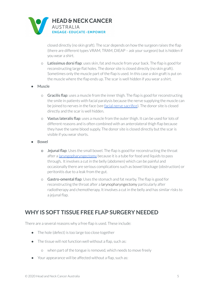

closed directly (no skin graft). The scar depends on how the surgeon raises the flap (there are different types VRAM, TRAM, DIEAP – ask your surgeon) but is hidden if you wear a shirt.

- o Latissimus dorsi flap: uses skin, fat and muscle from your back. The flap is good for reconstructing large flat holes. The donor site is closed directly (no skin graft). Sometimes only the muscle part of the flap is used. In this case a skin graft is put on the muscle where the flap ends up. The scar is well hidden if you wear a shirt.
- **●** Muscle
	- o Gracilis flap: uses a muscle from the innerthigh. The flap is good forreconstructing the smile in patients with facial paralysis because the nerve supplying the muscle can be joined to nerves in the face (see facial nerve [sacrifice](https://www.headandneckcancer.org.au/BeyondFive/media/HANCA-Fact-Sheets/Facial-Nerve-HANCA2020.pdf)). The donor site is closed directly and the scar is well hidden.
	- o Vastus lateralis flap: uses a muscle from the outerthigh. It can be used forlots of different reasons and is often combined with an anterolateral thigh flap because they have the same blood supply. The donor site is closed directly but the scar is visible if you wear shorts.
- **●** Bowel
	- **o** Jejunal flap: Uses the small bowel. The flap is good for reconstructing the throat after a [laryngopharyngectomy](https://www.headandneckcancer.org.au/BeyondFive/media/HANCA-Fact-Sheets/Laryngopharyngectomy-HANCA2020.pdf) because it is a tube for food and liquids to pass through. It involves a cut in the belly (abdomen) which can be painful and occasionally there are serious complications such as bowel blockage (obstruction) or peritonitis due to a leak from the gut.
	- o Gastro-omental flap: Uses the stomach and fat nearby. The flap is good for reconstructing the throat after a larynopharyngectomy particularly after radiotherapy and chemotherapy. It involves a cut in the belly and has similar risks to a jejunal flap.

### <span id="page-4-0"></span>**WHY IS SOFT TISSUE FREE FLAP SURGERY NEEDED**

There are a several reasons why a free flap is used. These include:

- The hole (defect) is too large too close together
- The tissue will not function well without a flap, such as:
	- o when part of the tongue is removed, which needs to move freely
- Your appearance will be affected without a flap, such as: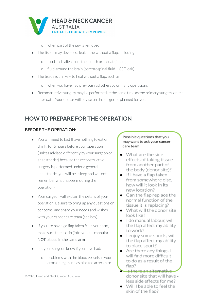

- o when part of the jaw is removed
- The tissue may develop a leak if the without a flap, including:
	- o food and saliva from the mouth orthroat (fistula)
	- o fluid around the brain (cerebrospinal fluid CSF leak)
- The tissue is unlikely to heal without a flap, such as:
	- o when you have had previous radiotherapy or many operations
- Reconstructive surgery may be performed at the same time as the primary surgery, or at a later date. Your doctor will advise on the surgeries planned for you.

## <span id="page-5-0"></span>**HOW TO PREPARE FOR THE OPERATION**

#### **BEFORE THE OPERATION:**

- You will need to fast (have nothing to eat or drink) for 6 hours before your operation (unless advised differently by your surgeon or anaesthetist) because the reconstructive surgery is performed under a general anaesthetic (you will be asleep and will not remember what happens during the operation).
- Your surgeon will explain the details of your operation. Be sure to bring up any questions or concerns, and share your needs and wishes with your cancer care team (see box).
- If you are having a flap taken from your arm, make sure that a drip (intravenous cannula) is NOT placed in the same arm
- Let your surgeon know if you have had:
	- o problems with the blood vessels in your arms or legs such as blocked arteries or

#### Possible questions that you may want to ask your cancer care team

- $\bullet$  What are the side effects of taking tissue from another part of the body (donor site)?
- If I have a flap taken from somewhere else. how will it look in its new location?
- Can the flap replace the normal function of the tissue it is replacing?
- What will the donor site look like?
- $\bullet$  I do manual labour, will the flap affect my ability to work?
- lenjoy some sports, will the flap affect my ability to place sport?
- Are there any things I will find more difficult to do as a result of the flap?
- Is there an alternative © 2020 Head and Neck Cancer Australia **6 Communist Communist Communist Communist Communist Communist Communist Communist Communist Communist Communist Communist Communist Communist Communist Communist Communist Communist C** less side effects for me?
	- Will I be able to feel the skin of the flap?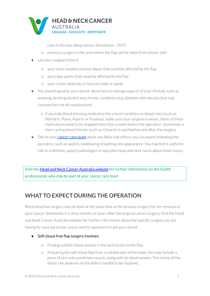

clots in the legs (deep venous thrombosis - DVT)

- o previous surgery in the area where the flap will be taken from (donor site)
- Let your surgeon know if:
	- o your work involves manual labourthat could be affected by the flap
	- o you enjoy sports that could be affected by the flap
	- o your career depends on how you look or speak
- You should speak to your doctor about how to manage aspects of your lifestyle, such as smoking, drinking alcohol and chronic conditions (e.g. diabetes and obesity) that may increase the risk of complications.
	- o If you take blood thinning medication for a heart condition or blood clots (such as Warfarin, Plavix, Aspirin or Pradaxa), make sure your surgeon is aware. Some of these medications need to be stopped more than a week before the operation. Sometimes a short-acting blood thinner (such as Clexane) is used before and after the surgery.
- Talk to your **[cancer](https://www.headandneckcancer.org.au/diagnosis/the-cancer-care-team) care team** about any likely side effects you can expect following the operation, such as speech, swallowing, breathing and appearance. You may find it useful to talk to a dietitian, speech pathologist or specialist head and neck nurse about these issues.

Visit the Head and Neck Cancer [Australia](http://www.beyondfive.org.au/) website for further information on the health professionals who may be part of your cancer care team

## <span id="page-6-0"></span>**WHAT TO EXPECT DURING THE OPERATION**

Reconstructive surgery may be done at the same time as the primary surgery for the removal of your cancer. Sometimes it is done months or years afterthe original cancer surgery. Visit the [Head](http://www.beyondfive.org.au) and Neck Cancer [Australia](http://www.beyondfive.org.au) website for further information about the specific surgery you are having for your particular cancer and for questions to ask your doctor.

- *●* Soft tissue free flap surgery involves:
	- o Finding suitable blood vessels in the neck to join to the flap.
	- o Preparing the soft tissue flap from a suitable part of the body; this may include a piece of skin and sometimes muscle, along with its blood vessels. The choice of the donor site depends on the defect needed to be repaired.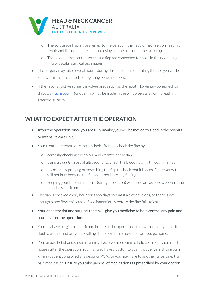

- o The soft tissue flap is transferred to the defect in the head or neck region needing repair and the donor site is closed using stitches or sometimes a skin graft.
- o The blood vessels of the soft tissue flap are connected to those in the neck using microvascular surgical techniques.
- The surgery may take several hours; during this time in the operating theatre you will be kept warm and protected from getting pressure sores.
- If the reconstructive surgery involves areas such as the mouth, lower jaw bone, neck or throat, a [tracheotomy](https://www.headandneckcancer.org.au/health-and-wellbeing/tracheostomy) (or opening) may be made in the windpipe assist with breathing after the surgery.

## <span id="page-7-0"></span>**WHAT TO EXPECT AFTER THE OPERATION**

- $\bullet$  After the operation, once you are fully awake, you will be moved to a bed in the hospital or intensive care unit.
- Your treatment team will carefully look after and check the flap by:
	- o carefully checking the colour and warmth of the flap
	- o using a *Doppler* (special ultrasound) to check the blood flowing through the flap
	- o occasionally pricking or scratching the flap to check that it bleeds. Don't worry this will not hurt because the flap does not have any feeling.
	- o keeping your head in a neutral (straight position) while you are asleep to prevent the blood vessels from kinking.
- The flap is checked every hour for a few days so that if a clot develops, or there is not enough blood flow, this can be fixed immediately before the flap fails (dies).
- Your anaesthetist and surgical team will give you medicine to help control any pain and nausea after the operation.
- You may have surgical drains from the site of the operation to allow blood or lymphatic fluid to escape and prevent swelling. These will be removed before you go home.
- Your anaesthetist and surgical team will give you medicine to help control any pain and nausea afterthe operation. You may also have a button to push that delivers strong pain killers (patient controlled analgesia, or PCA), or you may have to ask the nurse for extra pain medication. Ensure you take pain relief medications as prescribed by your doctor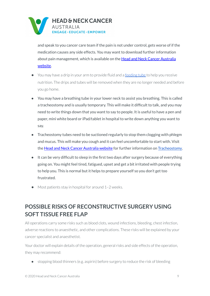

and speak to you cancer care team if the pain is not under control, gets worse of if the medication causes any side effects. You may want to download further information about pain management, which is available on the Head and Neck Cancer [Australia](http://www.beyondfive.org.au/) [website.](http://www.beyondfive.org.au/)

- You may have a drip in your arm to provide fluid and a [feeding](https://www.headandneckcancer.org.au/BeyondFive/media/PDF/Feeding-Tubes-HANCA2020-1.pdf) tube to help you receive nutrition. The drips and tubes will be removed when they are no longer needed and before you go home.
- You may have a breathing tube in your lower neck to assist you breathing. This is called a tracheostomy and is usually temporary. This will make it difficult to talk, and you may need to write things down that you want to say to people. It is useful to have a pen and paper, mini white board or iPad/tablet in hospital to write down anything you want to say.
- Tracheostomy tubes need to be suctioned regularly to stop them clogging with phlegm and mucus. This will make you cough and it can feel uncomfortable to start with. Visit the Head and Neck Cancer [Australia](http://www.beyondfive.org.au/) website for further information on [Tracheostomy.](https://www.headandneckcancer.org.au/health-and-wellbeing/tracheostomy)
- It can be very difficult to sleep in the first two days after surgery because of everything going on. You might feel tired, fatigued, upset and get a bit irritated with people trying to help you. This is normal but it helps to prepare yourself so you don't get too frustrated.
- Most patients stay in hospital for around 1-2 weeks.

## <span id="page-8-0"></span>**POSSIBLE RISKS OF RECONSTRUCTIVE SURGERY USING SOFT TISSUE FREE FLAP**

All operations carry some risks such as blood clots, wound infections, bleeding, chest infection, adverse reactions to anaesthetic, and other complications. These risks will be explained by your cancer specialist and anaesthetist.

Your doctor will explain details of the operation, general risks and side effects of the operation, they may recommend:

● stopping blood thinners (e.g. aspirin) before surgery to reduce the risk of bleeding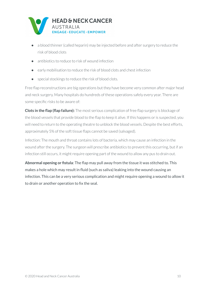

- a blood thinner (called heparin) may be injected before and after surgery to reduce the risk of blood clots
- antibiotics to reduce to risk of wound infection
- early mobilisation to reduce the risk of blood clots and chest infection
- special stockings to reduce the risk of blood clots.

Free flap reconstructions are big operations but they have become very common after major head and neck surgery. Many hospitals do hundreds of these operations safely every year. There are some specific risks to be aware of:

**Clots in the flap (flap failure):** The most serious complication of free flap surgery is blockage of the blood vessels that provide blood to the flap to keep it alive. If this happens or is suspected, you will need to return to the operating theatre to unblock the blood vessels. Despite the best efforts, approximately 5% of the soft tissue flaps cannot be saved (salvaged).

Infection: The mouth and throat contains lots of bacteria, which may cause an infection in the wound after the surgery. The surgeon will prescribe antibiotics to prevent this occurring, but if an infection still occurs, it might require opening part of the wound to allow any pus to drain out.

**Abnormal opening or fistula**: The flap may pull away from the tissue it was stitched to. This makes a hole which may result in fluid (such as saliva) leaking into the wound causing an infection. This can be a very serious complication and might require opening a wound to allow it to drain or another operation to fix the seal.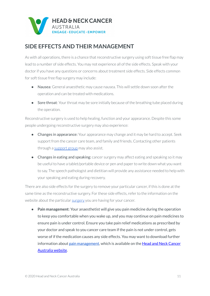

### <span id="page-10-0"></span>**SIDE EFFECTS AND THEIR MANAGEMENT**

As with all operations, there is a chance that reconstructive surgery using soft tissue free flap may lead to a number of side effects. You may not experience all of the side effects. Speak with your doctor if you have any questions or concerns about treatment side effects. Side effects common for soft tissue free flap surgery may include:

- Nausea: General anaesthetic may cause nausea. This will settle down soon after the operation and can be treated with medications.
- Sore throat: Your throat may be sore initially because of the breathing tube placed during the operation.

Reconstructive surgery is used to help healing, function and your appearance. Despite this some people undergoing reconstructive surgery may also experience:

- **●** Changes in appearance: Your appearance may change and it may be hard to accept. Seek support from the cancer care team, and family and friends. Contacting other patients through a [support](https://www.headandneckcancer.org.au/health-and-wellbeing/find-support) group may also assist.
- **●** Changes in eating and speaking: cancer surgery may affect eating and speaking so it may be useful to have a tablet/portable device or pen and paper to write down what you want to say. The speech pathologist and dietitian will provide any assistance needed to help with your speaking and eating during recovery.

There are also side effects for the surgery to remove your particular cancer, if this is done at the same time as the reconstructive surgery. For these side effects, refer to the information on the website about the particular [surgery](https://www.headandneckcancer.org.au/for-healthcare-professionals/surgical-procedures) you are having for your cancer.

● **Pain management**: Your anaesthetist will give you pain medicine during the operation to keep you comfortable when you wake up, and you may continue on pain medicines to ensure pain is under control. Ensure you take pain relief medications as prescribed by your doctor and speak to you cancer care team if the pain is not under control, gets worse of if the medication causes any side effects. You may want to download further information about pain [management](https://www.headandneckcancer.org.au/BeyondFive/media/HANCA-Fact-Sheets/Pain-Management-HANCA2020.pdf), which is available on the **Head and Neck [Cancer](http://www.beyondfive.org.au/)** [Australia](http://www.beyondfive.org.au/) website.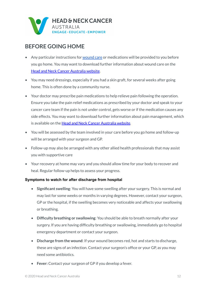

## <span id="page-11-0"></span>**BEFORE GOING HOME**

- Any particular instructions for [wound](https://www.headandneckcancer.org.au/BeyondFive/media/HANCA-Fact-Sheets/Wound-Care-After-Surgery-HANCA2020.pdf) care or medications will be provided to you before you go home. You may want to download further information about wound care on the Head and Neck Cancer [Australia](http://www.beyondfive.org.au/) website.
- You may need dressings, especially if you had a skin graft, for several weeks after going home. This is often done by a community nurse.
- Your doctor may prescribe pain medications to help relieve pain following the operation. Ensure you take the pain relief medications as prescribed by your doctor and speak to your cancer care team if the pain is not under control, gets worse or if the medication causes any side effects. You may want to download further information about pain management, which is available on the Head and Neck Cancer [Australia](http://www.beyondfive.org.au/) website.
- You will be assessed by the team involved in your care before you go home and follow-up will be arranged with your surgeon and GP.
- Follow-up may also be arranged with any other allied health professionals that may assist you with supportive care
- Your recovery at home may vary and you should allow time for your body to recover and heal. Regular follow-up helps to assess your progress.

#### **Symptoms to watch for after discharge from hospital**

- **Significant swelling**: You will have some swelling after your surgery. This is normal and may last for some weeks or months in varying degrees. However, contact your surgeon, GP or the hospital, if the swelling becomes very noticeable and affects your swallowing or breathing.
- **Difficulty breathing or swallowing**: You should be able to breath normally after your surgery. If you are having difficulty breathing or swallowing, immediately go to hospital emergency department or contact your surgeon.
- **Discharge from the wound**: If your wound becomes red, hot and starts to discharge, these are signs of an infection. Contact your surgeon's office or your GP, as you may need some antibiotics.
- **Fever:** Contact your surgeon of GP if you develop a fever.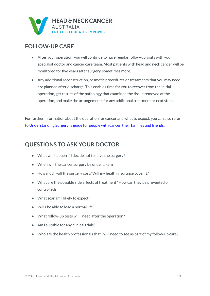

#### <span id="page-12-0"></span>**FOLLOW-UP CARE**

- After your operation, you will continue to have regular follow-up visits with your specialist doctor and cancer care team. Most patients with head and neck cancer will be monitored for five years after surgery, sometimes more.
- Any additional reconstruction, cosmetic procedures or treatments that you may need are planned after discharge. This enables time for you to recover from the initial operation, get results of the pathology that examined the tissue removed at the operation, and make the arrangements for any additional treatment or next steps.

For further information about the operation for cancer and what to expect, you can also refer to [Understanding](http://www.cancer.org.au/content/about_cancer/treatment/Understanding-Surgery_booklet_April_2016.pdf) Surgery: a guide for people with cancer, their families and friends.

#### <span id="page-12-1"></span>**QUESTIONS TO ASK YOUR DOCTOR**

- What will happen if I decide not to have the surgery?
- When will the cancer surgery be undertaken?
- How much will the surgery cost? Will my health insurance cover it?
- What are the possible side effects of treatment? How can they be prevented or controlled?
- What scar am I likely to expect?
- Will I be able to lead a normal life?
- What follow-up tests will I need after the operation?
- Am I suitable for any clinical trials?
- Who are the health professionals that I will need to see as part of my follow-up care?